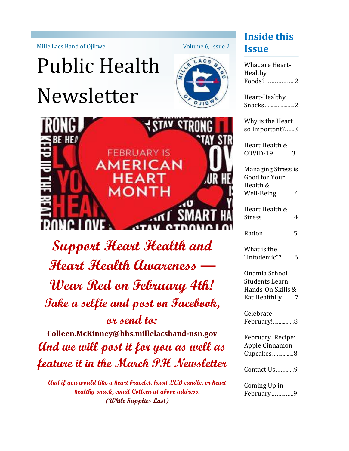Mille Lacs Band of Ojibwe

# Public Health Newsletter





**Support Heart Health and Heart Health Awareness — Wear Red on February 4th! Take a selfie and post on Facebook, or send to:** 

**Colleen.McKinney@hhs.millelacsband-nsn.gov And we will post it for you as well as feature it in the March PH Newsletter** 

**And if you would like a heart bracelet, heart LED candle, or heart healthy snack, email Colleen at above address. (While Supplies Last)** 

### **Inside this Issue**

What are Heart-Healthy Foods? ……………. 2

Heart-Healthy Snacks…..................2

Why is the Heart so Important?.…..3

Heart Health & COVID-19……......3

Managing Stress is Good for Your Health & Well-Being….…….4

Heart Health & Stress……………….4

Radon………………5

What is the "Infodemic"?.........6

Onamia School Students Learn Hands-On Skills & Eat Healthily……..7

Celebrate February!...............8

February Recipe: Apple Cinnamon Cupcakes…............8

Contact Us……......9

Coming Up in February……...…..9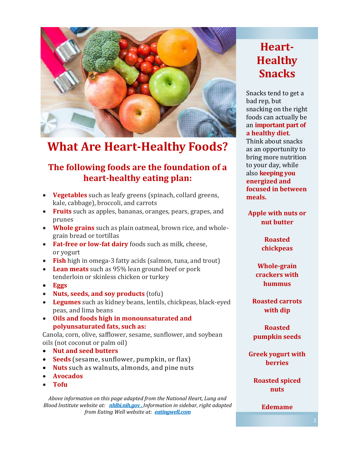

### **What Are Heart-Healthy Foods?**

#### **The following foods are the foundation of a heart-healthy eating plan:**

- **Vegetables** such as leafy greens (spinach, collard greens, kale, cabbage), broccoli, and carrots
- **Fruits** such as apples, bananas, oranges, pears, grapes, and prunes
- **Whole grains** such as plain oatmeal, brown rice, and wholegrain bread or tortillas
- **Fat-free or low-fat dairy** foods such as milk, cheese, or yogurt
- **Fish** high in omega-3 fatty acids (salmon, tuna, and trout)
- **Lean meats** such as 95% lean ground beef or pork tenderloin or skinless chicken or turkey
- **Eggs**
- **Nuts, seeds, and soy products** (tofu)
- **Legumes** such as kidney beans, lentils, chickpeas, black-eyed peas, and lima beans
- **Oils and foods high in monounsaturated and polyunsaturated fats, such as:**

Canola, corn, olive, safflower, sesame, sunflower, and soybean oils (not coconut or palm oil)

- **Nut and seed butters**
- **Seeds** (sesame, sunflower, pumpkin, or flax)
- **Nuts** such as walnuts, almonds, and pine nuts
- **Avocados**
- **Tofu**

*Above information on this page adapted from the National Heart, Lung and Blood Institute website at: nhlbi.nih.gov . Information in sidebar, right adapted from Eating Well website at: eatingwell.com* 

### **Heart-Healthy Snacks**

Snacks tend to get a bad rep, but snacking on the right foods can actually be an **important part of a healthy diet**.

Think about snacks as an opportunity to bring more nutrition to your day, while also **keeping you energized and focused in between meals.** 

**Apple with nuts or nut butter**

> **Roasted chickpeas**

**Whole-grain crackers with hummus**

**Roasted carrots with dip**

**Roasted pumpkin seeds**

**Greek yogurt with berries**

**Roasted spiced nuts**

#### **Edemame**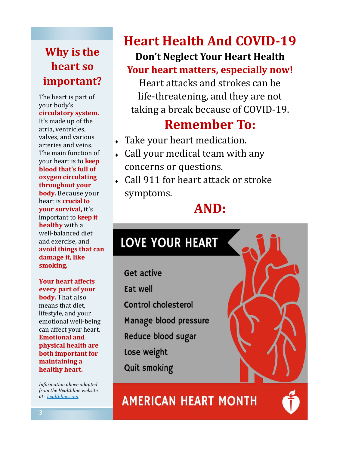### **Why is the heart so important?**

The heart is part of your body's **circulatory system.** 

It's made up of the atria, ventricles, valves, and various arteries and veins. The main function of your heart is to **keep blood that's full of oxygen circulating throughout your body.** Because your heart is **crucial to your survival,** it's important to **keep it healthy** with a well-balanced diet and exercise, and **avoid things that can damage it, like smoking.** 

**Your heart affects every part of your body.** That also means that diet, lifestyle, and your emotional well-being can affect your heart. **Emotional and physical health are both important for maintaining a healthy heart.** 

*Information above adapted from the Healthline website at: healthline.com*

### **Heart Health And COVID-19 Don't Neglect Your Heart Health**

### **Your heart matters, especially now!**

Heart attacks and strokes can be life-threatening, and they are not taking a break because of COVID-19.

## **Remember To:**

- Take your heart medication.
- Call your medical team with any concerns or questions.
- Call 911 for heart attack or stroke symptoms.

### **AND:**

# **LOVE YOUR HEART**

**Get active Eat well** Control cholesterol Manage blood pressure Reduce blood sugar Lose weight **Quit smoking** 

**AMERICAN HEART MONTH** 

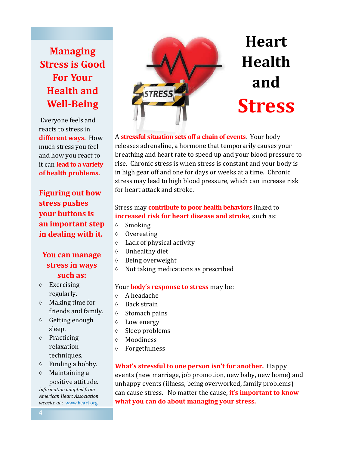### **Managing Stress is Good For Your Health and Well-Being**

Everyone feels and reacts to stress in **different ways.** How much stress you feel and how you react to it can **lead to a variety of health problems.**

**Figuring out how stress pushes your buttons is an important step in dealing with it.**

#### **You can manage stress in ways such as:**

- $\Diamond$  Exercising regularly.
- $\lozenge$  Making time for friends and family.
- Getting enough sleep.
- $\lozenge$  Practicing relaxation techniques.
- $\Diamond$  Finding a hobby.
- Maintaining a positive attitude.

*Information adapted from American Heart Association website at :* www.heart.org



#### A **stressful situation sets off a chain of events**. Your body releases adrenaline, a hormone that temporarily causes your breathing and heart rate to speed up and your blood pressure to rise. Chronic stress is when stress is constant and your body is in high gear off and one for days or weeks at a time. Chronic stress may lead to high blood pressure, which can increase risk for heart attack and stroke.

#### Stress may **contribute to poor health behaviors** linked to **increased risk for heart disease and stroke**, such as:

- $\lozenge$  Smoking
- ♦ Overeating
- Lack of physical activity
- Unhealthy diet
- Being overweight
- $\Diamond$  Not taking medications as prescribed

#### Your **body's response to stress** may be:

- A headache
- ♦ Back strain
- $\Diamond$  Stomach pains
- Low energy
- $\Diamond$  Sleep problems
- Moodiness
- Forgetfulness

**What's stressful to one person isn't for another.** Happy events (new marriage, job promotion, new baby, new home) and unhappy events (illness, being overworked, family problems) can cause stress. No matter the cause, **it's important to know what you can do about managing your stress.**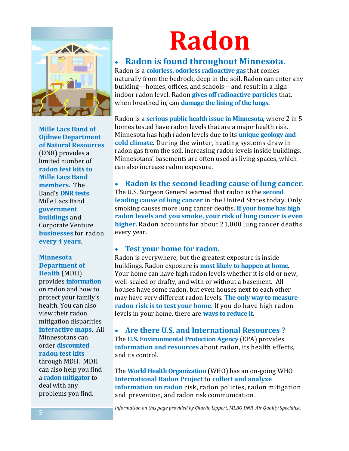

**Mille Lacs Band of Ojibwe Department of Natural Resources**  (DNR) provides a limited number of **radon test kits to Mille Lacs Band members.** The Band's **DNR tests**  Mille Lacs Band **government buildings** and Corporate Venture **businesses** for radon **every 4 years**.

#### **Minnesota Department of Health** (MDH)

provides **information**  on radon and how to protect your family's health. You can also view their radon mitigation disparities **interactive maps**. All Minnesotans can order **discounted radon test kits**  through MDH. MDH can also help you find a **radon mitigator** to deal with any problems you find.

# **Radon**

#### **Radon is found throughout Minnesota.**

Radon is a **colorless, odorless radioactive gas** that comes naturally from the bedrock, deep in the soil. Radon can enter any building—homes, offices, and schools—and result in a high indoor radon level. Radon **gives off radioactive particles** that, when breathed in, can **damage the lining of the lungs.**

Radon is a **serious public health issue in Minnesota**, where 2 in 5 homes tested have radon levels that are a major health risk. Minnesota has high radon levels due to its **unique geology and cold climate**. During the winter, heating systems draw in radon gas from the soil, increasing radon levels inside buildings. Minnesotans' basements are often used as living spaces, which can also increase radon exposure.

 **Radon is the second leading cause of lung cancer.** The U.S. Surgeon General warned that radon is the **second leading cause of lung cancer** in the United States today. Only smoking causes more lung cancer deaths. **If your home has high radon levels and you smoke, your risk of lung cancer is even higher.** Radon accounts for about 21,000 lung cancer deaths every year.

#### **Test your home for radon.**

Radon is everywhere, but the greatest exposure is inside buildings. Radon exposure is **most likely to happen at home**. Your home can have high radon levels whether it is old or new, well-sealed or drafty, and with or without a basement. All houses have some radon, but even houses next to each other may have very different radon levels. **The only way to measure radon risk is to test your home**. If you do have high radon levels in your home, there are **ways to reduce it**.

 **Are there U.S. and International Resources ?** The **U.S. Environmental Protection Agency** (EPA) provides **information and resources** about radon, its health effects, and its control.

The **World Health Organization** (WHO) has an on-going WHO **International Radon Project** to **collect and analyze information on radon** risk, radon policies, radon mitigation and prevention, and radon risk communication.

*Information on this page provided by Charlie Lippert, MLBO DNR Air Quality Specialist.*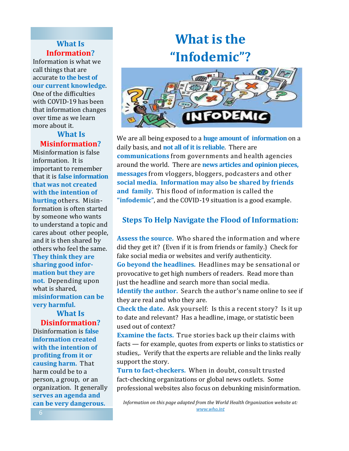#### **What Is Information?**

Information is what we call things that are accurate **to the best of our current knowledge**.

One of the difficulties with COVID-19 has been that information changes over time as we learn more about it.

#### **What Is Misinformation?**

Misinformation is false information. It is important to remember that it is **false information that was not created with the intention of hurting** others. Misinformation is often started by someone who wants to understand a topic and cares about other people, and it is then shared by others who feel the same. **They think they are sharing good information but they are not.** Depending upon what is shared, **misinformation can be very harmful.** 

**What Is Disinformation?**

Disinformation is **false information created with the intention of profiting from it or causing harm.** That harm could be to a person, a group, or an organization. It generally **serves an agenda and can be very dangerous.** 

# **What is the "Infodemic"?**



We are all being exposed to a **huge amount of information** on a daily basis, and **not all of it is reliable**. There are **communications** from governments and health agencies around the world. There are **news articles and opinion pieces, messages** from vloggers, bloggers, podcasters and other **social media**. **Information may also be shared by friends and family**. This flood of information is called the **"infodemic"**, and the COVID-19 situation is a good example.

#### **Steps To Help Navigate the Flood of Information:**

**Assess the source.** Who shared the information and where did they get it? (Even if it is from friends or family.) Check for fake social media or websites and verify authenticity.

**Go beyond the headlines.** Headlines may be sensational or provocative to get high numbers of readers. Read more than just the headline and search more than social media.

**Identify the author.** Search the author's name online to see if they are real and who they are.

**Check the date.** Ask yourself: Is this a recent story? Is it up to date and relevant? Has a headline, image, or statistic been used out of context?

**Examine the facts.** True stories back up their claims with facts — for example, quotes from experts or links to statistics or studies,. Verify that the experts are reliable and the links really support the story.

**Turn to fact-checkers.** When in doubt, consult trusted fact-checking organizations or global news outlets. Some professional websites also focus on debunking misinformation.

*Information on this page adapted from the World Health Organization website at: www.who.int*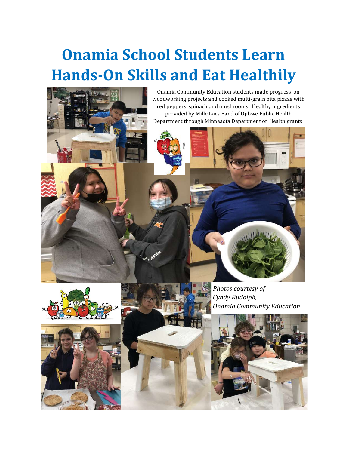# **Onamia School Students Learn Hands-On Skills and Eat Healthily**











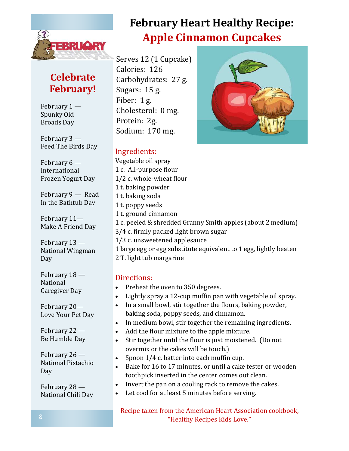

### **Celebrate February!**

February 1 — Spunky Old Broads Day

February 3 — Feed The Birds Day

February 6 — International Frozen Yogurt Day

February 9 — Read In the Bathtub Day

February 11— Make A Friend Day

February 13 — National Wingman Day

February 18 — National Caregiver Day

February 20— Love Your Pet Day

February 22 — Be Humble Day

February 26 — National Pistachio Day

February 28 — National Chili Day

### **February Heart Healthy Recipe: Apple Cinnamon Cupcakes**

Serves 12 (1 Cupcake) Calories: 126 Carbohydrates: 27 g. Sugars: 15 g. Fiber: 1 g. Cholesterol: 0 mg. Protein: 2g. Sodium: 170 mg.

#### Ingredients:

Vegetable oil spray 1 c. All-purpose flour 1/2 c. whole-wheat flour 1 t. baking powder 1 t. baking soda 1 t. poppy seeds 1 t. ground cinnamon 1 c. peeled & shredded Granny Smith apples (about 2 medium) 3/4 c. firmly packed light brown sugar 1/3 c. unsweetened applesauce 1 large egg or egg substitute equivalent to 1 egg, lightly beaten 2 T. light tub margarine

#### Directions:

- Preheat the oven to 350 degrees.
- Lightly spray a 12-cup muffin pan with vegetable oil spray.
- In a small bowl, stir together the flours, baking powder, baking soda, poppy seeds, and cinnamon.
- In medium bowl, stir together the remaining ingredients.
- Add the flour mixture to the apple mixture.
- Stir together until the flour is just moistened. (Do not overmix or the cakes will be touch.)
- Spoon 1/4 c. batter into each muffin cup.
- Bake for 16 to 17 minutes, or until a cake tester or wooden toothpick inserted in the center comes out clean.
- Invert the pan on a cooling rack to remove the cakes.
- Let cool for at least 5 minutes before serving.

Recipe taken from the American Heart Association cookbook, "Healthy Recipes Kids Love."